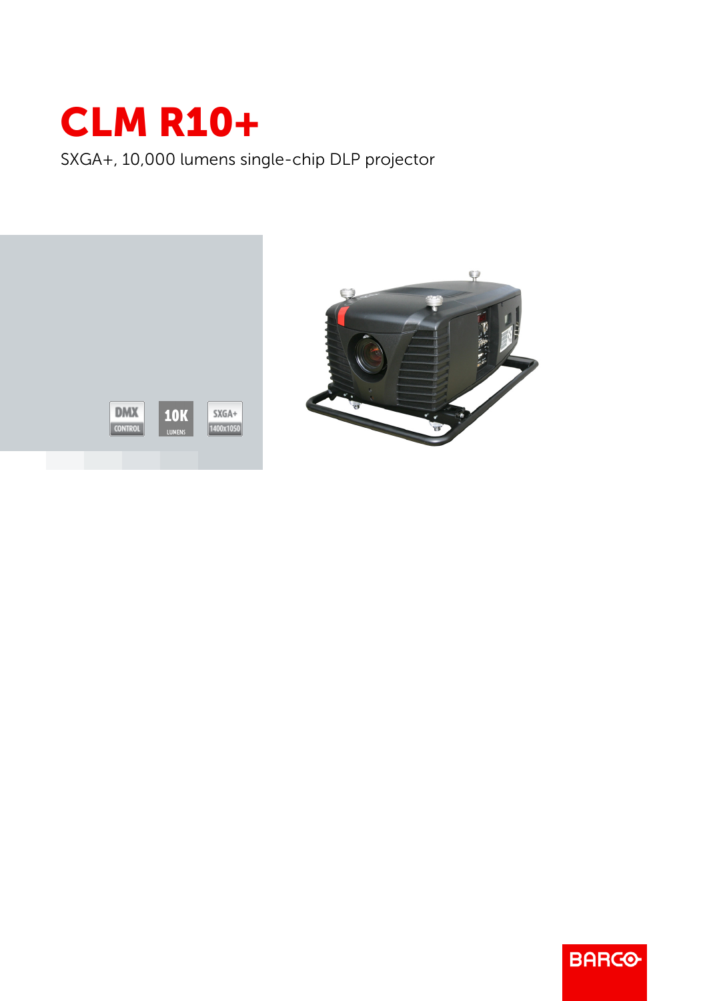

SXGA+, 10,000 lumens single-chip DLP projector





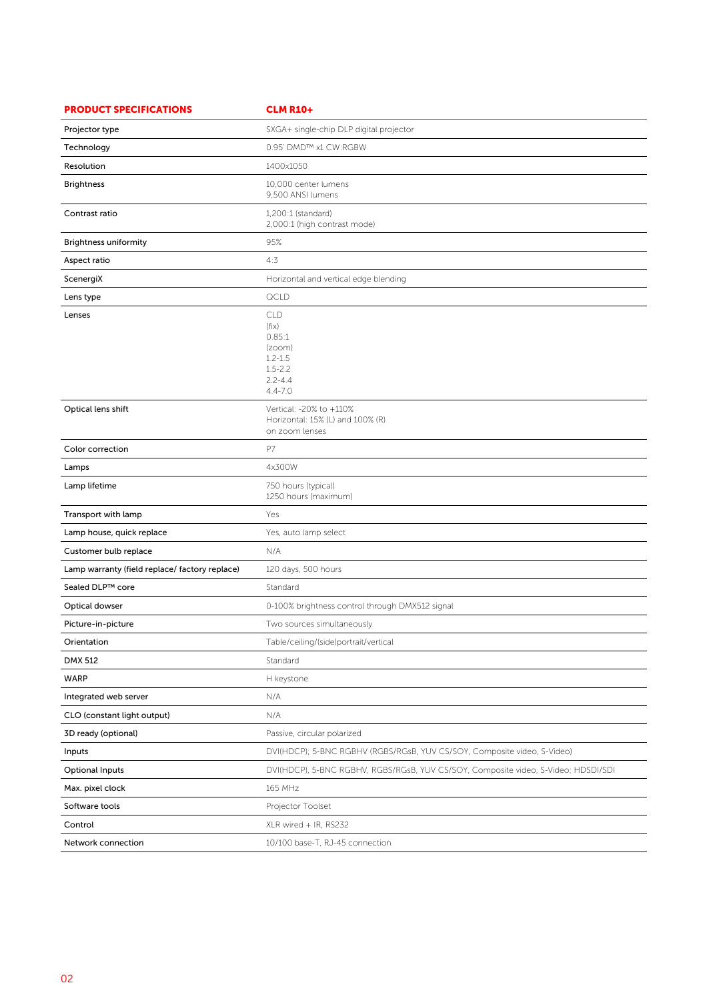| <b>PRODUCT SPECIFICATIONS</b>                  | <b>CLM R10+</b>                                                                                     |
|------------------------------------------------|-----------------------------------------------------------------------------------------------------|
| Projector type                                 | SXGA+ single-chip DLP digital projector                                                             |
| Technology                                     | 0.95' DMD™ x1 CW:RGBW                                                                               |
| Resolution                                     | 1400x1050                                                                                           |
| <b>Brightness</b>                              | 10,000 center lumens<br>9,500 ANSI lumens                                                           |
| Contrast ratio                                 | 1,200:1 (standard)<br>2,000:1 (high contrast mode)                                                  |
| <b>Brightness uniformity</b>                   | 95%                                                                                                 |
| Aspect ratio                                   | 4:3                                                                                                 |
| ScenergiX                                      | Horizontal and vertical edge blending                                                               |
| Lens type                                      | QCLD                                                                                                |
| Lenses                                         | <b>CLD</b><br>(fix)<br>0.85:1<br>(zoom)<br>$1.2 - 1.5$<br>$1.5 - 2.2$<br>$2.2 - 4.4$<br>$4.4 - 7.0$ |
| Optical lens shift                             | Vertical: -20% to +110%<br>Horizontal: 15% (L) and 100% (R)<br>on zoom lenses                       |
| Color correction                               | P7                                                                                                  |
| Lamps                                          | 4x300W                                                                                              |
| Lamp lifetime                                  | 750 hours (typical)<br>1250 hours (maximum)                                                         |
| Transport with lamp                            | Yes                                                                                                 |
| Lamp house, quick replace                      | Yes, auto lamp select                                                                               |
| Customer bulb replace                          | N/A                                                                                                 |
| Lamp warranty (field replace/ factory replace) | 120 days, 500 hours                                                                                 |
| Sealed DLP™ core                               | Standard                                                                                            |
| Optical dowser                                 | 0-100% brightness control through DMX512 signal                                                     |
| Picture-in-picture                             | Two sources simultaneously                                                                          |
| Orientation                                    | Table/ceiling/(side)portrait/vertical                                                               |
| DMX 512                                        | Standard                                                                                            |
| WARP                                           | H keystone                                                                                          |
| Integrated web server                          | N/A                                                                                                 |
| CLO (constant light output)                    | N/A                                                                                                 |
| 3D ready (optional)                            | Passive, circular polarized                                                                         |
| Inputs                                         | DVI(HDCP); 5-BNC RGBHV (RGBS/RGsB, YUV CS/SOY, Composite video, S-Video)                            |
| <b>Optional Inputs</b>                         | DVI(HDCP), 5-BNC RGBHV, RGBS/RGsB, YUV CS/SOY, Composite video, S-Video; HDSDI/SDI                  |
| Max. pixel clock                               | 165 MHz                                                                                             |
| Software tools                                 | Projector Toolset                                                                                   |
| Control                                        | XLR wired + IR, RS232                                                                               |
| Network connection                             | 10/100 base-T, RJ-45 connection                                                                     |